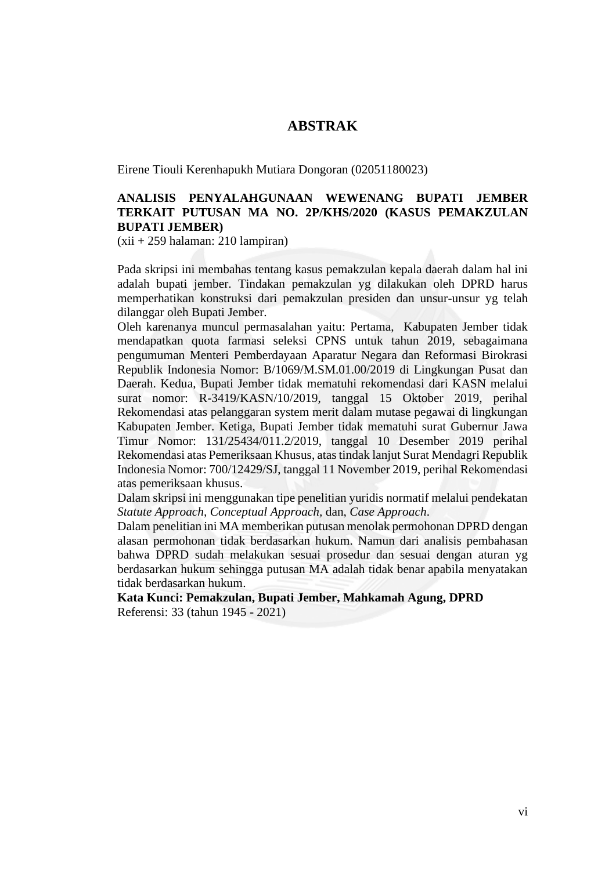## **ABSTRAK**

Eirene Tiouli Kerenhapukh Mutiara Dongoran (02051180023)

## **ANALISIS PENYALAHGUNAAN WEWENANG BUPATI JEMBER TERKAIT PUTUSAN MA NO. 2P/KHS/2020 (KASUS PEMAKZULAN BUPATI JEMBER)**

(xii + 259 halaman: 210 lampiran)

Pada skripsi ini membahas tentang kasus pemakzulan kepala daerah dalam hal ini adalah bupati jember. Tindakan pemakzulan yg dilakukan oleh DPRD harus memperhatikan konstruksi dari pemakzulan presiden dan unsur-unsur yg telah dilanggar oleh Bupati Jember.

Oleh karenanya muncul permasalahan yaitu: Pertama, Kabupaten Jember tidak mendapatkan quota farmasi seleksi CPNS untuk tahun 2019, sebagaimana pengumuman Menteri Pemberdayaan Aparatur Negara dan Reformasi Birokrasi Republik Indonesia Nomor: B/1069/M.SM.01.00/2019 di Lingkungan Pusat dan Daerah. Kedua, Bupati Jember tidak mematuhi rekomendasi dari KASN melalui surat nomor: R-3419/KASN/10/2019, tanggal 15 Oktober 2019, perihal Rekomendasi atas pelanggaran system merit dalam mutase pegawai di lingkungan Kabupaten Jember. Ketiga, Bupati Jember tidak mematuhi surat Gubernur Jawa Timur Nomor: 131/25434/011.2/2019, tanggal 10 Desember 2019 perihal Rekomendasi atas Pemeriksaan Khusus, atas tindak lanjut Surat Mendagri Republik Indonesia Nomor: 700/12429/SJ, tanggal 11 November 2019, perihal Rekomendasi atas pemeriksaan khusus.

Dalam skripsi ini menggunakan tipe penelitian yuridis normatif melalui pendekatan *Statute Approach, Conceptual Approach,* dan, *Case Approach*.

Dalam penelitian ini MA memberikan putusan menolak permohonan DPRD dengan alasan permohonan tidak berdasarkan hukum. Namun dari analisis pembahasan bahwa DPRD sudah melakukan sesuai prosedur dan sesuai dengan aturan yg berdasarkan hukum sehingga putusan MA adalah tidak benar apabila menyatakan tidak berdasarkan hukum.

**Kata Kunci: Pemakzulan, Bupati Jember, Mahkamah Agung, DPRD** Referensi: 33 (tahun 1945 - 2021)